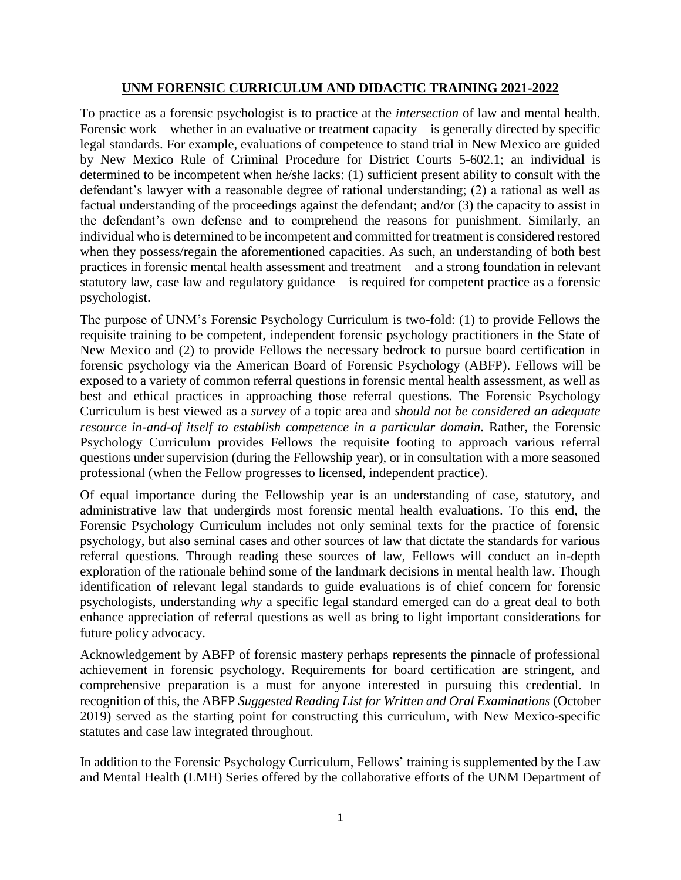## **UNM FORENSIC CURRICULUM AND DIDACTIC TRAINING 2021-2022**

To practice as a forensic psychologist is to practice at the *intersection* of law and mental health. Forensic work—whether in an evaluative or treatment capacity—is generally directed by specific legal standards. For example, evaluations of competence to stand trial in New Mexico are guided by New Mexico Rule of Criminal Procedure for District Courts 5-602.1; an individual is determined to be incompetent when he/she lacks: (1) sufficient present ability to consult with the defendant's lawyer with a reasonable degree of rational understanding; (2) a rational as well as factual understanding of the proceedings against the defendant; and/or (3) the capacity to assist in the defendant's own defense and to comprehend the reasons for punishment. Similarly, an individual who is determined to be incompetent and committed for treatment is considered restored when they possess/regain the aforementioned capacities. As such, an understanding of both best practices in forensic mental health assessment and treatment—and a strong foundation in relevant statutory law, case law and regulatory guidance—is required for competent practice as a forensic psychologist.

The purpose of UNM's Forensic Psychology Curriculum is two-fold: (1) to provide Fellows the requisite training to be competent, independent forensic psychology practitioners in the State of New Mexico and (2) to provide Fellows the necessary bedrock to pursue board certification in forensic psychology via the American Board of Forensic Psychology (ABFP). Fellows will be exposed to a variety of common referral questions in forensic mental health assessment, as well as best and ethical practices in approaching those referral questions. The Forensic Psychology Curriculum is best viewed as a *survey* of a topic area and *should not be considered an adequate resource in-and-of itself to establish competence in a particular domain.* Rather, the Forensic Psychology Curriculum provides Fellows the requisite footing to approach various referral questions under supervision (during the Fellowship year), or in consultation with a more seasoned professional (when the Fellow progresses to licensed, independent practice).

Of equal importance during the Fellowship year is an understanding of case, statutory, and administrative law that undergirds most forensic mental health evaluations. To this end, the Forensic Psychology Curriculum includes not only seminal texts for the practice of forensic psychology, but also seminal cases and other sources of law that dictate the standards for various referral questions. Through reading these sources of law, Fellows will conduct an in-depth exploration of the rationale behind some of the landmark decisions in mental health law. Though identification of relevant legal standards to guide evaluations is of chief concern for forensic psychologists, understanding *why* a specific legal standard emerged can do a great deal to both enhance appreciation of referral questions as well as bring to light important considerations for future policy advocacy.

Acknowledgement by ABFP of forensic mastery perhaps represents the pinnacle of professional achievement in forensic psychology. Requirements for board certification are stringent, and comprehensive preparation is a must for anyone interested in pursuing this credential. In recognition of this, the ABFP *Suggested Reading List for Written and Oral Examinations* (October 2019) served as the starting point for constructing this curriculum, with New Mexico-specific statutes and case law integrated throughout.

In addition to the Forensic Psychology Curriculum, Fellows' training is supplemented by the Law and Mental Health (LMH) Series offered by the collaborative efforts of the UNM Department of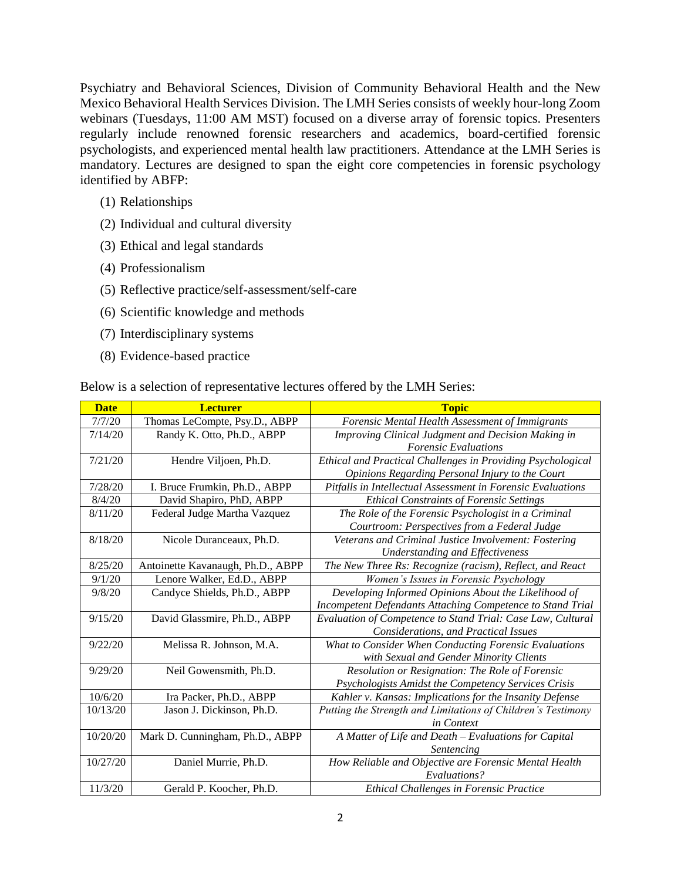Psychiatry and Behavioral Sciences, Division of Community Behavioral Health and the New Mexico Behavioral Health Services Division. The LMH Series consists of weekly hour-long Zoom webinars (Tuesdays, 11:00 AM MST) focused on a diverse array of forensic topics. Presenters regularly include renowned forensic researchers and academics, board-certified forensic psychologists, and experienced mental health law practitioners. Attendance at the LMH Series is mandatory. Lectures are designed to span the eight core competencies in forensic psychology identified by ABFP:

- (1) Relationships
- (2) Individual and cultural diversity
- (3) Ethical and legal standards
- (4) Professionalism
- (5) Reflective practice/self-assessment/self-care
- (6) Scientific knowledge and methods
- (7) Interdisciplinary systems
- (8) Evidence-based practice

Below is a selection of representative lectures offered by the LMH Series:

| <b>Date</b> | <b>Lecturer</b>                   | <b>Topic</b>                                                 |
|-------------|-----------------------------------|--------------------------------------------------------------|
| 7/7/20      | Thomas LeCompte, Psy.D., ABPP     | <b>Forensic Mental Health Assessment of Immigrants</b>       |
| 7/14/20     | Randy K. Otto, Ph.D., ABPP        | Improving Clinical Judgment and Decision Making in           |
|             |                                   | <b>Forensic Evaluations</b>                                  |
| 7/21/20     | Hendre Viljoen, Ph.D.             | Ethical and Practical Challenges in Providing Psychological  |
|             |                                   | Opinions Regarding Personal Injury to the Court              |
| 7/28/20     | I. Bruce Frumkin, Ph.D., ABPP     | Pitfalls in Intellectual Assessment in Forensic Evaluations  |
| 8/4/20      | David Shapiro, PhD, ABPP          | <b>Ethical Constraints of Forensic Settings</b>              |
| 8/11/20     | Federal Judge Martha Vazquez      | The Role of the Forensic Psychologist in a Criminal          |
|             |                                   | Courtroom: Perspectives from a Federal Judge                 |
| 8/18/20     | Nicole Duranceaux, Ph.D.          | Veterans and Criminal Justice Involvement: Fostering         |
|             |                                   | <b>Understanding and Effectiveness</b>                       |
| 8/25/20     | Antoinette Kavanaugh, Ph.D., ABPP | The New Three Rs: Recognize (racism), Reflect, and React     |
| 9/1/20      | Lenore Walker, Ed.D., ABPP        | Women's Issues in Forensic Psychology                        |
| 9/8/20      | Candyce Shields, Ph.D., ABPP      | Developing Informed Opinions About the Likelihood of         |
|             |                                   | Incompetent Defendants Attaching Competence to Stand Trial   |
| 9/15/20     | David Glassmire, Ph.D., ABPP      | Evaluation of Competence to Stand Trial: Case Law, Cultural  |
|             |                                   | Considerations, and Practical Issues                         |
| 9/22/20     | Melissa R. Johnson, M.A.          | What to Consider When Conducting Forensic Evaluations        |
|             |                                   | with Sexual and Gender Minority Clients                      |
| 9/29/20     | Neil Gowensmith, Ph.D.            | Resolution or Resignation: The Role of Forensic              |
|             |                                   | Psychologists Amidst the Competency Services Crisis          |
| 10/6/20     | Ira Packer, Ph.D., ABPP           | Kahler v. Kansas: Implications for the Insanity Defense      |
| 10/13/20    | Jason J. Dickinson, Ph.D.         | Putting the Strength and Limitations of Children's Testimony |
|             |                                   | in Context                                                   |
| 10/20/20    | Mark D. Cunningham, Ph.D., ABPP   | A Matter of Life and Death - Evaluations for Capital         |
|             |                                   | Sentencing                                                   |
| 10/27/20    | Daniel Murrie, Ph.D.              | How Reliable and Objective are Forensic Mental Health        |
|             |                                   | Evaluations?                                                 |
| 11/3/20     | Gerald P. Koocher, Ph.D.          | <b>Ethical Challenges in Forensic Practice</b>               |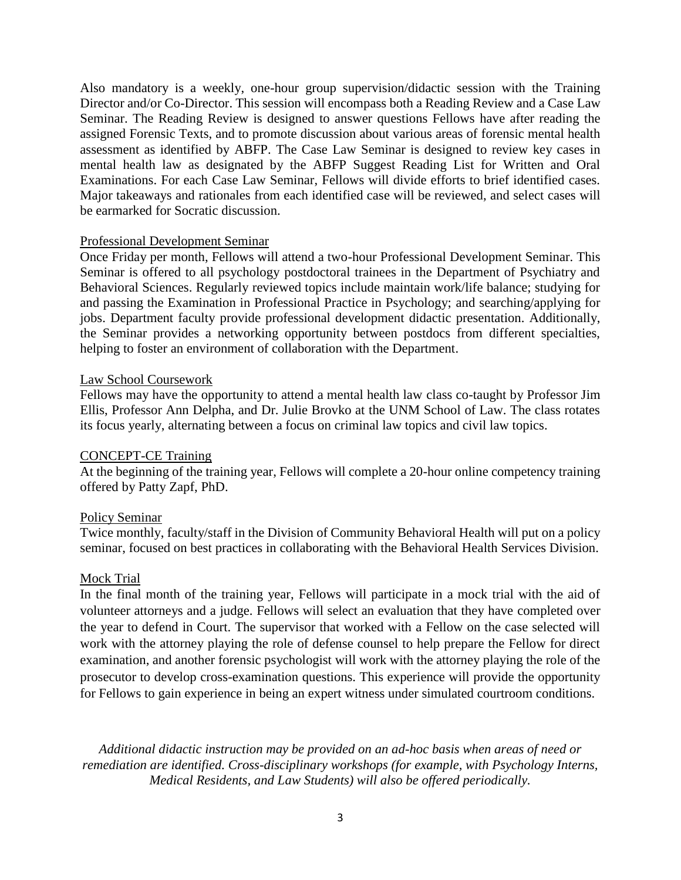Also mandatory is a weekly, one-hour group supervision/didactic session with the Training Director and/or Co-Director. This session will encompass both a Reading Review and a Case Law Seminar. The Reading Review is designed to answer questions Fellows have after reading the assigned Forensic Texts, and to promote discussion about various areas of forensic mental health assessment as identified by ABFP. The Case Law Seminar is designed to review key cases in mental health law as designated by the ABFP Suggest Reading List for Written and Oral Examinations. For each Case Law Seminar, Fellows will divide efforts to brief identified cases. Major takeaways and rationales from each identified case will be reviewed, and select cases will be earmarked for Socratic discussion.

#### Professional Development Seminar

Once Friday per month, Fellows will attend a two-hour Professional Development Seminar. This Seminar is offered to all psychology postdoctoral trainees in the Department of Psychiatry and Behavioral Sciences. Regularly reviewed topics include maintain work/life balance; studying for and passing the Examination in Professional Practice in Psychology; and searching/applying for jobs. Department faculty provide professional development didactic presentation. Additionally, the Seminar provides a networking opportunity between postdocs from different specialties, helping to foster an environment of collaboration with the Department.

## Law School Coursework

Fellows may have the opportunity to attend a mental health law class co-taught by Professor Jim Ellis, Professor Ann Delpha, and Dr. Julie Brovko at the UNM School of Law. The class rotates its focus yearly, alternating between a focus on criminal law topics and civil law topics.

## CONCEPT-CE Training

At the beginning of the training year, Fellows will complete a 20-hour online competency training offered by Patty Zapf, PhD.

## Policy Seminar

Twice monthly, faculty/staff in the Division of Community Behavioral Health will put on a policy seminar, focused on best practices in collaborating with the Behavioral Health Services Division.

#### Mock Trial

In the final month of the training year, Fellows will participate in a mock trial with the aid of volunteer attorneys and a judge. Fellows will select an evaluation that they have completed over the year to defend in Court. The supervisor that worked with a Fellow on the case selected will work with the attorney playing the role of defense counsel to help prepare the Fellow for direct examination, and another forensic psychologist will work with the attorney playing the role of the prosecutor to develop cross-examination questions. This experience will provide the opportunity for Fellows to gain experience in being an expert witness under simulated courtroom conditions.

*Additional didactic instruction may be provided on an ad-hoc basis when areas of need or remediation are identified. Cross-disciplinary workshops (for example, with Psychology Interns, Medical Residents, and Law Students) will also be offered periodically.*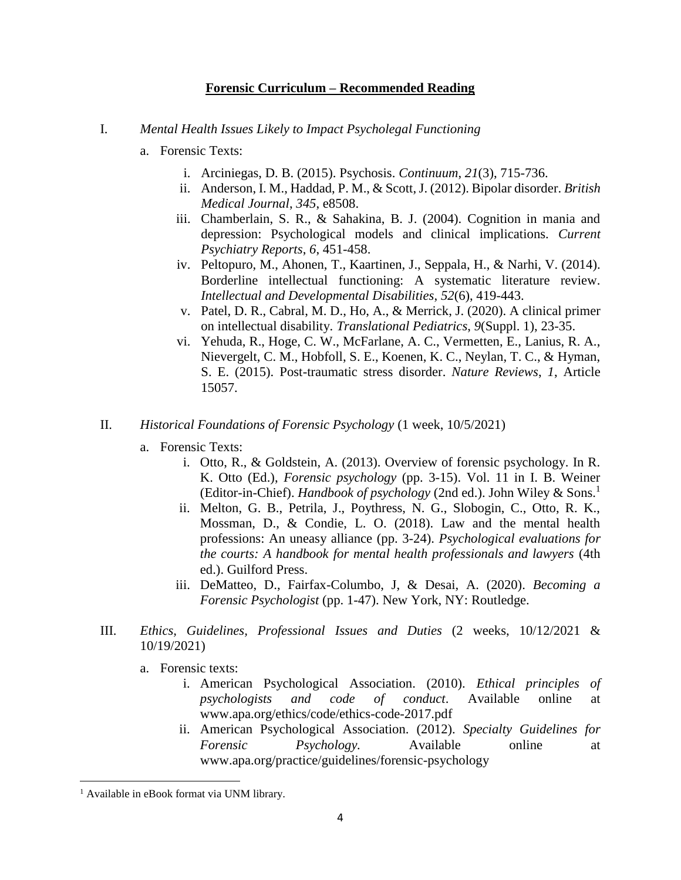## **Forensic Curriculum – Recommended Reading**

- I. *Mental Health Issues Likely to Impact Psycholegal Functioning*
	- a. Forensic Texts:
		- i. Arciniegas, D. B. (2015). Psychosis. *Continuum*, *21*(3), 715-736.
		- ii. Anderson, I. M., Haddad, P. M., & Scott, J. (2012). Bipolar disorder. *British Medical Journal*, *345*, e8508.
		- iii. Chamberlain, S. R., & Sahakina, B. J. (2004). Cognition in mania and depression: Psychological models and clinical implications. *Current Psychiatry Reports*, *6*, 451-458.
		- iv. Peltopuro, M., Ahonen, T., Kaartinen, J., Seppala, H., & Narhi, V. (2014). Borderline intellectual functioning: A systematic literature review. *Intellectual and Developmental Disabilities*, *52*(6), 419-443.
		- v. Patel, D. R., Cabral, M. D., Ho, A., & Merrick, J. (2020). A clinical primer on intellectual disability. *Translational Pediatrics*, *9*(Suppl. 1), 23-35.
		- vi. Yehuda, R., Hoge, C. W., McFarlane, A. C., Vermetten, E., Lanius, R. A., Nievergelt, C. M., Hobfoll, S. E., Koenen, K. C., Neylan, T. C., & Hyman, S. E. (2015). Post-traumatic stress disorder. *Nature Reviews*, *1*, Article 15057.
- II. *Historical Foundations of Forensic Psychology* (1 week, 10/5/2021)
	- a. Forensic Texts:
		- i. Otto, R., & Goldstein, A. (2013). Overview of forensic psychology. In R. K. Otto (Ed.), *Forensic psychology* (pp. 3-15). Vol. 11 in I. B. Weiner (Editor-in-Chief). *Handbook of psychology* (2nd ed.). John Wiley & Sons.<sup>1</sup>
		- ii. Melton, G. B., Petrila, J., Poythress, N. G., Slobogin, C., Otto, R. K., Mossman, D., & Condie, L. O. (2018). Law and the mental health professions: An uneasy alliance (pp. 3-24). *Psychological evaluations for the courts: A handbook for mental health professionals and lawyers* (4th ed.). Guilford Press.
		- iii. DeMatteo, D., Fairfax-Columbo, J, & Desai, A. (2020). *Becoming a Forensic Psychologist* (pp. 1-47). New York, NY: Routledge.
- III. *Ethics, Guidelines, Professional Issues and Duties* (2 weeks, 10/12/2021 & 10/19/2021)
	- a. Forensic texts:
		- i. American Psychological Association. (2010). *Ethical principles of psychologists and code of conduct*. Available online at www.apa.org/ethics/code/ethics-code-2017.pdf
		- ii. American Psychological Association. (2012). *Specialty Guidelines for Forensic Psychology.* Available online at www.apa.org/practice/guidelines/forensic-psychology

 $\overline{\phantom{a}}$ 

<sup>&</sup>lt;sup>1</sup> Available in eBook format via UNM library.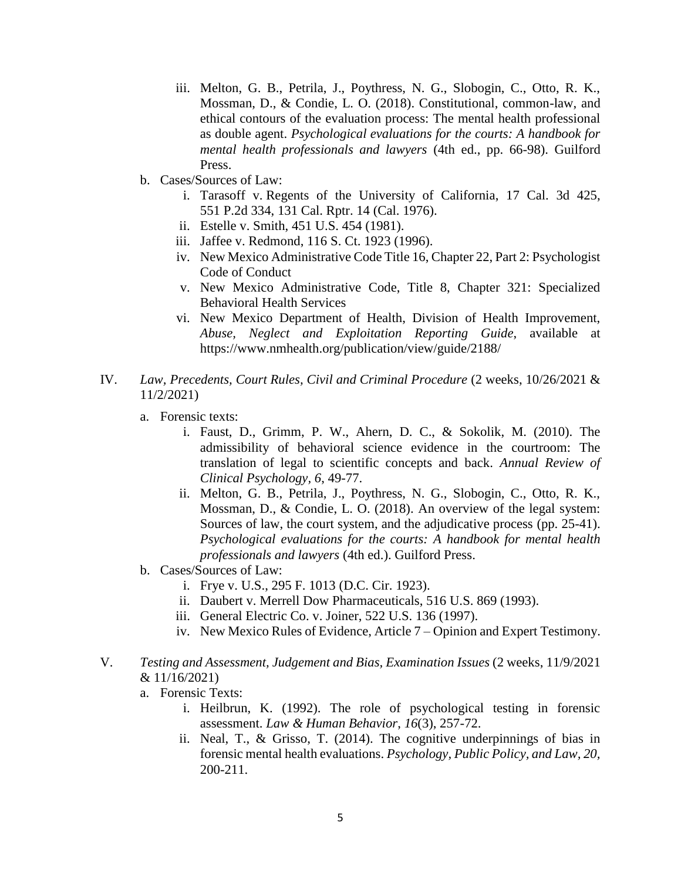- iii. Melton, G. B., Petrila, J., Poythress, N. G., Slobogin, C., Otto, R. K., Mossman, D., & Condie, L. O. (2018). Constitutional, common-law, and ethical contours of the evaluation process: The mental health professional as double agent. *Psychological evaluations for the courts: A handbook for mental health professionals and lawyers* (4th ed., pp. 66-98). Guilford Press.
- b. Cases/Sources of Law:
	- i. Tarasoff v. [Regents of the University of California,](https://en.wikipedia.org/wiki/Regents_of_the_University_of_California) 17 Cal. 3d 425, 551 [P.2d](https://en.wikipedia.org/wiki/P.2d) 334, 131 Cal. Rptr. 14 [\(Cal.](https://en.wikipedia.org/wiki/Supreme_Court_of_California) 1976).
	- ii. Estelle v. Smith, 451 U.S. 454 (1981).
	- iii. Jaffee v. Redmond, 116 S. Ct. 1923 (1996).
	- iv. New Mexico Administrative Code Title 16, Chapter 22, Part 2: Psychologist Code of Conduct
	- v. New Mexico Administrative Code, Title 8, Chapter 321: Specialized Behavioral Health Services
	- vi. New Mexico Department of Health, Division of Health Improvement, *Abuse, Neglect and Exploitation Reporting Guide*, available at https://www.nmhealth.org/publication/view/guide/2188/
- IV. *Law, Precedents, Court Rules, Civil and Criminal Procedure* (2 weeks, 10/26/2021 & 11/2/2021)
	- a. Forensic texts:
		- i. Faust, D., Grimm, P. W., Ahern, D. C., & Sokolik, M. (2010). The admissibility of behavioral science evidence in the courtroom: The translation of legal to scientific concepts and back. *Annual Review of Clinical Psychology, 6*, 49-77.
		- ii. Melton, G. B., Petrila, J., Poythress, N. G., Slobogin, C., Otto, R. K., Mossman, D., & Condie, L. O. (2018). An overview of the legal system: Sources of law, the court system, and the adjudicative process (pp. 25-41). *Psychological evaluations for the courts: A handbook for mental health professionals and lawyers* (4th ed.). Guilford Press.
	- b. Cases/Sources of Law:
		- i. Frye v. U.S., 295 F. 1013 (D.C. Cir. 1923).
		- ii. Daubert v. Merrell Dow Pharmaceuticals, 516 U.S. 869 (1993).
		- iii. General Electric Co. v. Joiner, 522 U.S. 136 (1997).
		- iv. New Mexico Rules of Evidence, Article 7 Opinion and Expert Testimony.
- V. *Testing and Assessment, Judgement and Bias, Examination Issues* (2 weeks, 11/9/2021 & 11/16/2021)
	- a. Forensic Texts:
		- i. Heilbrun, K. (1992). The role of psychological testing in forensic assessment. *Law & Human Behavior*, *16*(3), 257-72.
		- ii. Neal, T., & Grisso, T. (2014). The cognitive underpinnings of bias in forensic mental health evaluations. *Psychology, Public Policy, and Law, 20,*  200-211.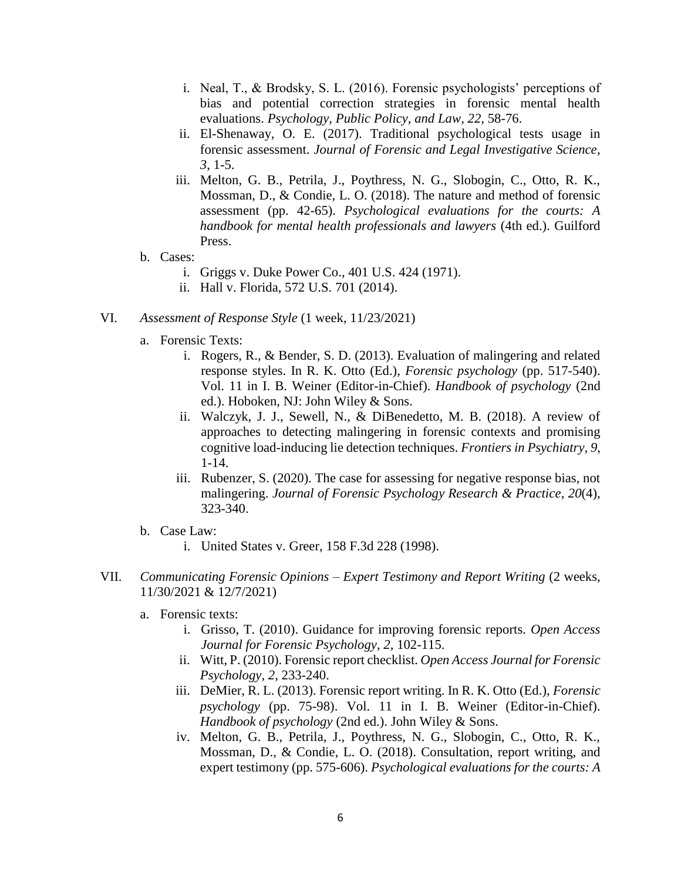- i. Neal, T., & Brodsky, S. L. (2016). Forensic psychologists' perceptions of bias and potential correction strategies in forensic mental health evaluations. *Psychology, Public Policy, and Law, 22,* 58-76.
- ii. El-Shenaway, O. E. (2017). Traditional psychological tests usage in forensic assessment. *Journal of Forensic and Legal Investigative Science*, *3*, 1-5.
- iii. Melton, G. B., Petrila, J., Poythress, N. G., Slobogin, C., Otto, R. K., Mossman, D., & Condie, L. O. (2018). The nature and method of forensic assessment (pp. 42-65). *Psychological evaluations for the courts: A handbook for mental health professionals and lawyers* (4th ed.). Guilford Press.
- b. Cases:
	- i. Griggs v. Duke Power Co., 401 U.S. 424 (1971).
	- ii. Hall v. Florida, 572 U.S. 701 (2014).
- VI. *Assessment of Response Style* (1 week, 11/23/2021)
	- a. Forensic Texts:
		- i. Rogers, R., & Bender, S. D. (2013). Evaluation of malingering and related response styles. In R. K. Otto (Ed.), *Forensic psychology* (pp. 517-540). Vol. 11 in I. B. Weiner (Editor-in-Chief). *Handbook of psychology* (2nd ed.). Hoboken, NJ: John Wiley & Sons.
		- ii. Walczyk, J. J., Sewell, N., & DiBenedetto, M. B. (2018). A review of approaches to detecting malingering in forensic contexts and promising cognitive load-inducing lie detection techniques. *Frontiers in Psychiatry*, *9*, 1-14.
		- iii. Rubenzer, S. (2020). The case for assessing for negative response bias, not malingering. *Journal of Forensic Psychology Research & Practice*, *20*(4), 323-340.
	- b. Case Law:
		- i. United States v. Greer, 158 F.3d 228 (1998).
- VII. *Communicating Forensic Opinions – Expert Testimony and Report Writing* (2 weeks, 11/30/2021 & 12/7/2021)
	- a. Forensic texts:
		- i. Grisso, T. (2010). Guidance for improving forensic reports. *Open Access Journal for Forensic Psychology, 2*, 102-115.
		- ii. Witt, P. (2010). Forensic report checklist. *Open Access Journal for Forensic Psychology, 2*, 233-240.
		- iii. DeMier, R. L. (2013). Forensic report writing. In R. K. Otto (Ed.), *Forensic psychology* (pp. 75-98). Vol. 11 in I. B. Weiner (Editor-in-Chief). *Handbook of psychology* (2nd ed.). John Wiley & Sons.
		- iv. Melton, G. B., Petrila, J., Poythress, N. G., Slobogin, C., Otto, R. K., Mossman, D., & Condie, L. O. (2018). Consultation, report writing, and expert testimony (pp. 575-606). *Psychological evaluations for the courts: A*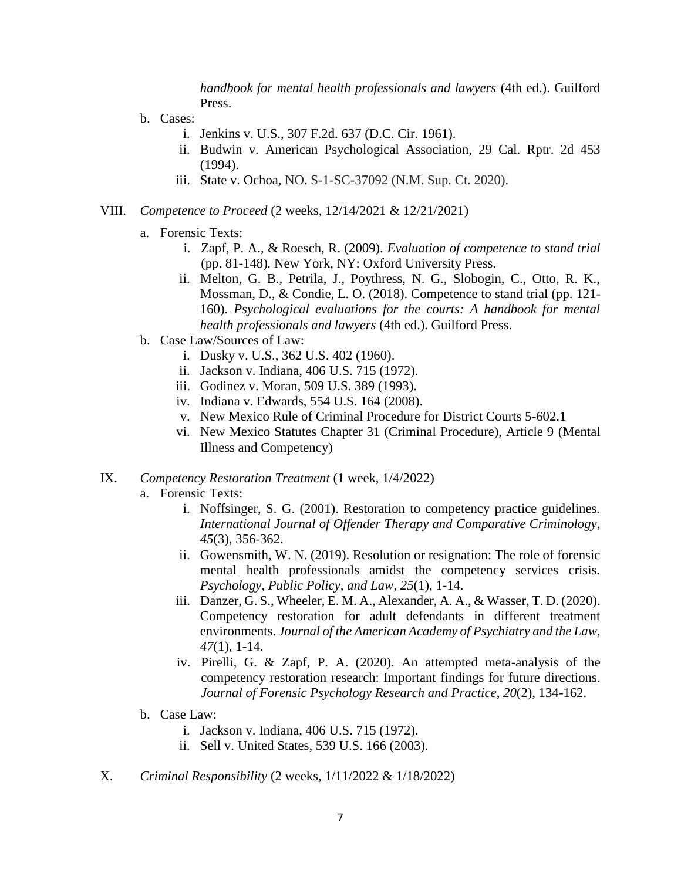*handbook for mental health professionals and lawyers* (4th ed.). Guilford Press.

- b. Cases:
	- i. Jenkins v. U.S., 307 F.2d. 637 (D.C. Cir. 1961).
	- ii. Budwin v. American Psychological Association, 29 Cal. Rptr. 2d 453 (1994).
	- iii. State v. Ochoa, NO. S-1-SC-37092 (N.M. Sup. Ct. 2020).
- VIII. *Competence to Proceed* (2 weeks, 12/14/2021 & 12/21/2021)
	- a. Forensic Texts:
		- i. Zapf, P. A., & Roesch, R. (2009). *Evaluation of competence to stand trial*  (pp. 81-148)*.* New York, NY: Oxford University Press.
		- ii. Melton, G. B., Petrila, J., Poythress, N. G., Slobogin, C., Otto, R. K., Mossman, D., & Condie, L. O. (2018). Competence to stand trial (pp. 121- 160). *Psychological evaluations for the courts: A handbook for mental health professionals and lawyers* (4th ed.). Guilford Press.
	- b. Case Law/Sources of Law:
		- i. Dusky v. U.S., 362 U.S. 402 (1960).
		- ii. Jackson v. Indiana, 406 U.S. 715 (1972).
		- iii. Godinez v. Moran, 509 U.S. 389 (1993).
		- iv. Indiana v. Edwards, 554 U.S. 164 (2008).
		- v. New Mexico Rule of Criminal Procedure for District Courts 5-602.1
		- vi. New Mexico Statutes Chapter 31 (Criminal Procedure), Article 9 (Mental Illness and Competency)

#### IX. *Competency Restoration Treatment* (1 week, 1/4/2022)

- a. Forensic Texts:
	- i. Noffsinger, S. G. (2001). Restoration to competency practice guidelines. *International Journal of Offender Therapy and Comparative Criminology*, *45*(3), 356-362.
	- ii. Gowensmith, W. N. (2019). Resolution or resignation: The role of forensic mental health professionals amidst the competency services crisis. *Psychology, Public Policy, and Law*, *25*(1), 1-14.
	- iii. Danzer, G. S., Wheeler, E. M. A., Alexander, A. A., & Wasser, T. D. (2020). Competency restoration for adult defendants in different treatment environments. *Journal of the American Academy of Psychiatry and the Law*, *47*(1), 1-14.
	- iv. Pirelli, G. & Zapf, P. A. (2020). An attempted meta-analysis of the competency restoration research: Important findings for future directions. *Journal of Forensic Psychology Research and Practice*, *20*(2), 134-162.
- b. Case Law:
	- i. Jackson v. Indiana, 406 U.S. 715 (1972).
	- ii. Sell v. United States, 539 U.S. 166 (2003).
- X. *Criminal Responsibility* (2 weeks, 1/11/2022 & 1/18/2022)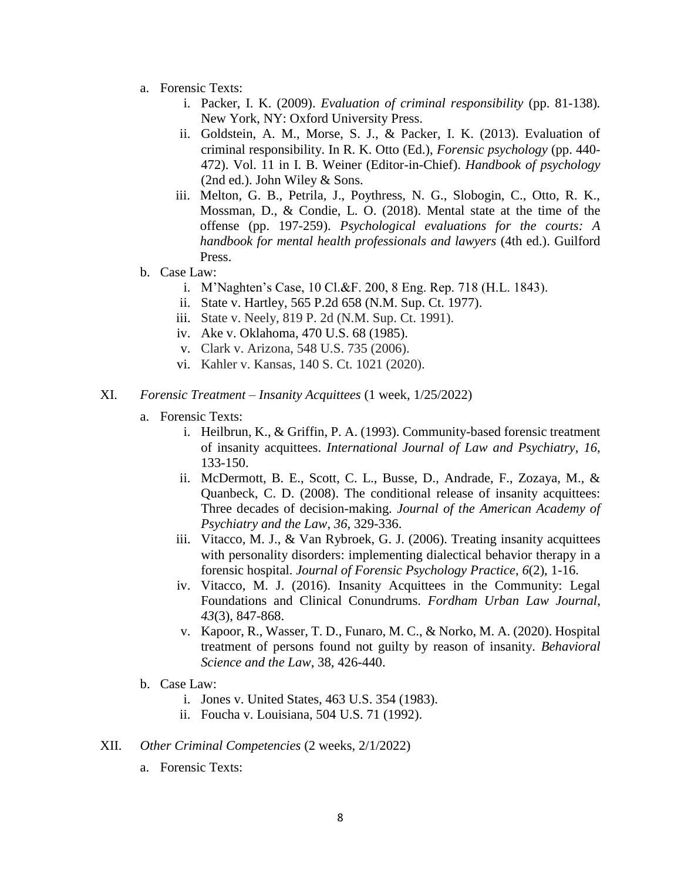- a. Forensic Texts:
	- i. Packer, I. K. (2009). *Evaluation of criminal responsibility* (pp. 81-138)*.*  New York, NY: Oxford University Press.
	- ii. Goldstein, A. M., Morse, S. J., & Packer, I. K. (2013). Evaluation of criminal responsibility. In R. K. Otto (Ed.), *Forensic psychology* (pp. 440- 472). Vol. 11 in I. B. Weiner (Editor-in-Chief). *Handbook of psychology*  (2nd ed.). John Wiley & Sons.
	- iii. Melton, G. B., Petrila, J., Poythress, N. G., Slobogin, C., Otto, R. K., Mossman, D., & Condie, L. O. (2018). Mental state at the time of the offense (pp. 197-259). *Psychological evaluations for the courts: A handbook for mental health professionals and lawyers* (4th ed.). Guilford Press.
- b. Case Law:
	- i. M'Naghten's Case, 10 Cl.&F. 200, 8 Eng. Rep. 718 (H.L. 1843).
	- ii. State v. Hartley, 565 P.2d 658 (N.M. Sup. Ct. 1977).
	- iii. State v. Neely, 819 P. 2d (N.M. Sup. Ct. 1991).
	- iv. Ake v. Oklahoma, 470 U.S. 68 (1985).
	- v. Clark v. Arizona, 548 U.S. 735 (2006).
	- vi. Kahler v. Kansas, 140 S. Ct. 1021 (2020).
- XI. *Forensic Treatment – Insanity Acquittees* (1 week, 1/25/2022)
	- a. Forensic Texts:
		- i. Heilbrun, K., & Griffin, P. A. (1993). Community-based forensic treatment of insanity acquittees. *International Journal of Law and Psychiatry*, *16*, 133-150.
		- ii. McDermott, B. E., Scott, C. L., Busse, D., Andrade, F., Zozaya, M., & Quanbeck, C. D. (2008). The conditional release of insanity acquittees: Three decades of decision-making. *Journal of the American Academy of Psychiatry and the Law*, *36*, 329-336.
		- iii. Vitacco, M. J., & Van Rybroek, G. J. (2006). Treating insanity acquittees with personality disorders: implementing dialectical behavior therapy in a forensic hospital. *Journal of Forensic Psychology Practice*, *6*(2), 1-16.
		- iv. Vitacco, M. J. (2016). Insanity Acquittees in the Community: Legal Foundations and Clinical Conundrums. *Fordham Urban Law Journal*, *43*(3), 847-868.
		- v. Kapoor, R., Wasser, T. D., Funaro, M. C., & Norko, M. A. (2020). Hospital treatment of persons found not guilty by reason of insanity. *Behavioral Science and the Law*, 38, 426-440.
	- b. Case Law:
		- i. Jones v. United States, 463 U.S. 354 (1983).
		- ii. Foucha v. Louisiana, 504 U.S. 71 (1992).
- XII. *Other Criminal Competencies* (2 weeks, 2/1/2022)
	- a. Forensic Texts: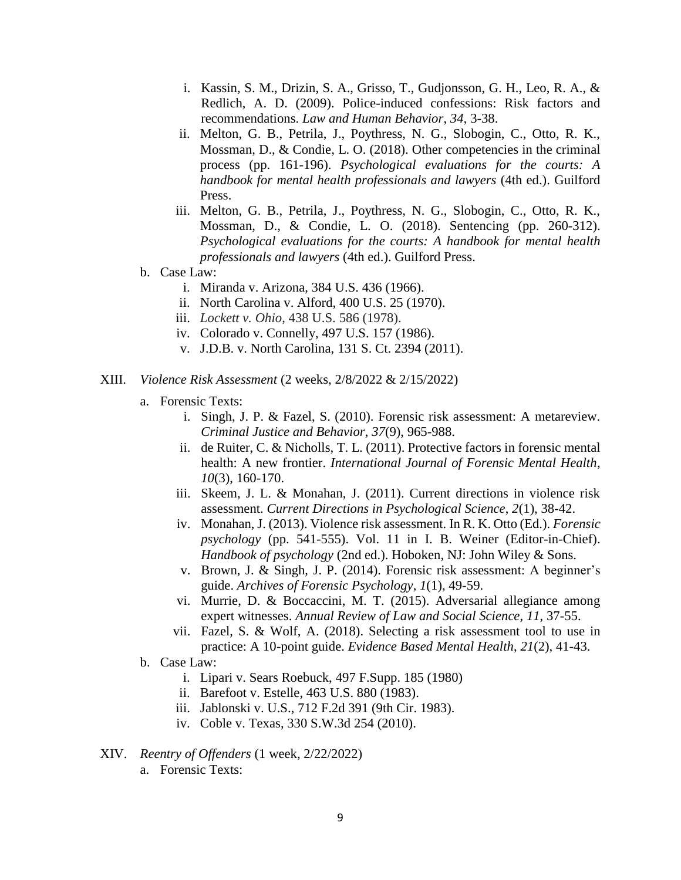- i. Kassin, S. M., Drizin, S. A., Grisso, T., Gudjonsson, G. H., Leo, R. A., & Redlich, A. D. (2009). Police-induced confessions: Risk factors and recommendations. *Law and Human Behavior*, *34,* 3-38.
- ii. Melton, G. B., Petrila, J., Poythress, N. G., Slobogin, C., Otto, R. K., Mossman, D., & Condie, L. O. (2018). Other competencies in the criminal process (pp. 161-196). *Psychological evaluations for the courts: A handbook for mental health professionals and lawyers* (4th ed.). Guilford Press.
- iii. Melton, G. B., Petrila, J., Poythress, N. G., Slobogin, C., Otto, R. K., Mossman, D., & Condie, L. O. (2018). Sentencing (pp. 260-312). *Psychological evaluations for the courts: A handbook for mental health professionals and lawyers* (4th ed.). Guilford Press.
- b. Case Law:
	- i. Miranda v. Arizona, 384 U.S. 436 (1966).
	- ii. North Carolina v. Alford, 400 U.S. 25 (1970).
	- iii. *Lockett v. Ohio*, 438 U.S. 586 (1978).
	- iv. Colorado v. Connelly, 497 U.S. 157 (1986).
	- v. J.D.B. v. North Carolina, 131 S. Ct. 2394 (2011).
- XIII. *Violence Risk Assessment* (2 weeks, 2/8/2022 & 2/15/2022)
	- a. Forensic Texts:
		- i. Singh, J. P. & Fazel, S. (2010). Forensic risk assessment: A metareview. *Criminal Justice and Behavior*, *37*(9), 965-988.
		- ii. de Ruiter, C. & Nicholls, T. L. (2011). Protective factors in forensic mental health: A new frontier. *International Journal of Forensic Mental Health*, *10*(3), 160-170.
		- iii. Skeem, J. L. & Monahan, J. (2011). Current directions in violence risk assessment. *Current Directions in Psychological Science*, *2*(1), 38-42.
		- iv. Monahan, J. (2013). Violence risk assessment. In R. K. Otto (Ed.). *Forensic psychology* (pp. 541-555). Vol. 11 in I. B. Weiner (Editor-in-Chief). *Handbook of psychology* (2nd ed.). Hoboken, NJ: John Wiley & Sons.
		- v. Brown, J. & Singh, J. P. (2014). Forensic risk assessment: A beginner's guide. *Archives of Forensic Psychology*, *1*(1), 49-59.
		- vi. Murrie, D. & Boccaccini, M. T. (2015). Adversarial allegiance among expert witnesses. *Annual Review of Law and Social Science*, *11*, 37-55.
		- vii. Fazel, S. & Wolf, A. (2018). Selecting a risk assessment tool to use in practice: A 10-point guide. *Evidence Based Mental Health*, *21*(2), 41-43.
	- b. Case Law:
		- i. Lipari v. Sears Roebuck, 497 F.Supp. 185 (1980)
		- ii. Barefoot v. Estelle, 463 U.S. 880 (1983).
		- iii. Jablonski v. U.S., 712 F.2d 391 (9th Cir. 1983).
		- iv. Coble v. Texas, 330 S.W.3d 254 (2010).
- XIV. *Reentry of Offenders* (1 week, 2/22/2022)
	- a. Forensic Texts: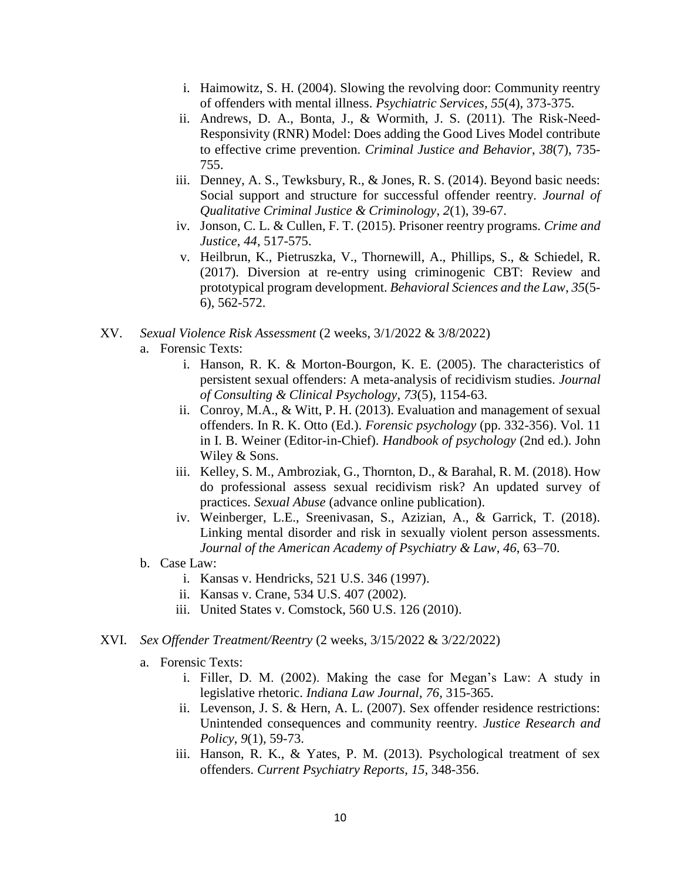- i. Haimowitz, S. H. (2004). Slowing the revolving door: Community reentry of offenders with mental illness. *Psychiatric Services, 55*(4), 373-375.
- ii. Andrews, D. A., Bonta, J., & Wormith, J. S. (2011). The Risk-Need-Responsivity (RNR) Model: Does adding the Good Lives Model contribute to effective crime prevention. *Criminal Justice and Behavior*, *38*(7), 735- 755.
- iii. Denney, A. S., Tewksbury, R., & Jones, R. S. (2014). Beyond basic needs: Social support and structure for successful offender reentry. *Journal of Qualitative Criminal Justice & Criminology*, *2*(1), 39-67.
- iv. Jonson, C. L. & Cullen, F. T. (2015). Prisoner reentry programs. *Crime and Justice*, *44*, 517-575.
- v. Heilbrun, K., Pietruszka, V., Thornewill, A., Phillips, S., & Schiedel, R. (2017). Diversion at re-entry using criminogenic CBT: Review and prototypical program development. *Behavioral Sciences and the Law*, *35*(5- 6), 562-572.
- XV. *Sexual Violence Risk Assessment* (2 weeks, 3/1/2022 & 3/8/2022)
	- a. Forensic Texts:
		- i. Hanson, R. K. & Morton-Bourgon, K. E. (2005). The characteristics of persistent sexual offenders: A meta-analysis of recidivism studies. *Journal of Consulting & Clinical Psychology*, *73*(5), 1154-63.
		- ii. Conroy, M.A., & Witt, P. H. (2013). Evaluation and management of sexual offenders. In R. K. Otto (Ed.). *Forensic psychology* (pp. 332-356). Vol. 11 in I. B. Weiner (Editor-in-Chief). *Handbook of psychology* (2nd ed.). John Wiley & Sons.
		- iii. Kelley, S. M., Ambroziak, G., Thornton, D., & Barahal, R. M. (2018). How do professional assess sexual recidivism risk? An updated survey of practices. *Sexual Abuse* (advance online publication).
		- iv. Weinberger, L.E., Sreenivasan, S., Azizian, A., & Garrick, T. (2018). Linking mental disorder and risk in sexually violent person assessments. *Journal of the American Academy of Psychiatry & Law*, *46*, 63–70.
	- b. Case Law:
		- i. Kansas v. Hendricks, 521 U.S. 346 (1997).
		- ii. Kansas v. Crane, 534 U.S. 407 (2002).
		- iii. United States v. Comstock, 560 U.S. 126 (2010).
- XVI. *Sex Offender Treatment/Reentry* (2 weeks, 3/15/2022 & 3/22/2022)
	- a. Forensic Texts:
		- i. Filler, D. M. (2002). Making the case for Megan's Law: A study in legislative rhetoric. *Indiana Law Journal*, *76*, 315-365.
		- ii. Levenson, J. S. & Hern, A. L. (2007). Sex offender residence restrictions: Unintended consequences and community reentry. *Justice Research and Policy*, *9*(1), 59-73.
		- iii. Hanson, R. K., & Yates, P. M. (2013). Psychological treatment of sex offenders. *Current Psychiatry Reports*, *15*, 348-356.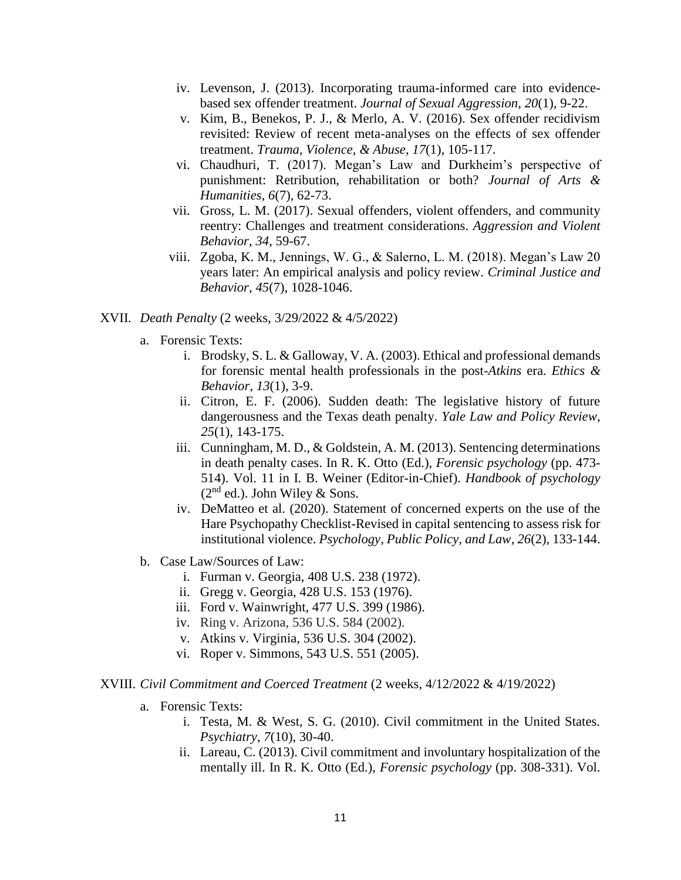- iv. Levenson, J. (2013). Incorporating trauma-informed care into evidencebased sex offender treatment. *Journal of Sexual Aggression*, *20*(1), 9-22.
- v. Kim, B., Benekos, P. J., & Merlo, A. V. (2016). Sex offender recidivism revisited: Review of recent meta-analyses on the effects of sex offender treatment. *Trauma, Violence, & Abuse*, *17*(1), 105-117.
- vi. Chaudhuri, T. (2017). Megan's Law and Durkheim's perspective of punishment: Retribution, rehabilitation or both? *Journal of Arts & Humanities*, *6*(7), 62-73.
- vii. Gross, L. M. (2017). Sexual offenders, violent offenders, and community reentry: Challenges and treatment considerations. *Aggression and Violent Behavior*, *34*, 59-67.
- viii. Zgoba, K. M., Jennings, W. G., & Salerno, L. M. (2018). Megan's Law 20 years later: An empirical analysis and policy review. *Criminal Justice and Behavior*, *45*(7), 1028-1046.

#### XVII. *Death Penalty* (2 weeks, 3/29/2022 & 4/5/2022)

- a. Forensic Texts:
	- i. Brodsky, S. L. & Galloway, V. A. (2003). Ethical and professional demands for forensic mental health professionals in the post-*Atkins* era. *Ethics & Behavior*, *13*(1), 3-9.
	- ii. Citron, E. F. (2006). Sudden death: The legislative history of future dangerousness and the Texas death penalty. *Yale Law and Policy Review*, *25*(1), 143-175.
	- iii. Cunningham, M. D., & Goldstein, A. M. (2013). Sentencing determinations in death penalty cases. In R. K. Otto (Ed.), *Forensic psychology* (pp. 473- 514). Vol. 11 in I. B. Weiner (Editor-in-Chief). *Handbook of psychology*   $(2<sup>nd</sup>$  ed.). John Wiley & Sons.
	- iv. DeMatteo et al. (2020). Statement of concerned experts on the use of the Hare Psychopathy Checklist-Revised in capital sentencing to assess risk for institutional violence. *Psychology, Public Policy, and Law*, *26*(2), 133-144.
- b. Case Law/Sources of Law:
	- i. Furman v. Georgia, 408 U.S. 238 (1972).
	- ii. Gregg v. Georgia, 428 U.S. 153 (1976).
	- iii. Ford v. Wainwright, 477 U.S. 399 (1986).
	- iv. Ring v. Arizona, 536 U.S. 584 (2002).
	- v. Atkins v. Virginia, 536 U.S. 304 (2002).
	- vi. Roper v. Simmons, 543 U.S. 551 (2005).

#### XVIII. *Civil Commitment and Coerced Treatment* (2 weeks, 4/12/2022 & 4/19/2022)

- a. Forensic Texts:
	- i. Testa, M. & West, S. G. (2010). Civil commitment in the United States. *Psychiatry*, *7*(10), 30-40.
	- ii. Lareau, C. (2013). Civil commitment and involuntary hospitalization of the mentally ill. In R. K. Otto (Ed.), *Forensic psychology* (pp. 308-331). Vol.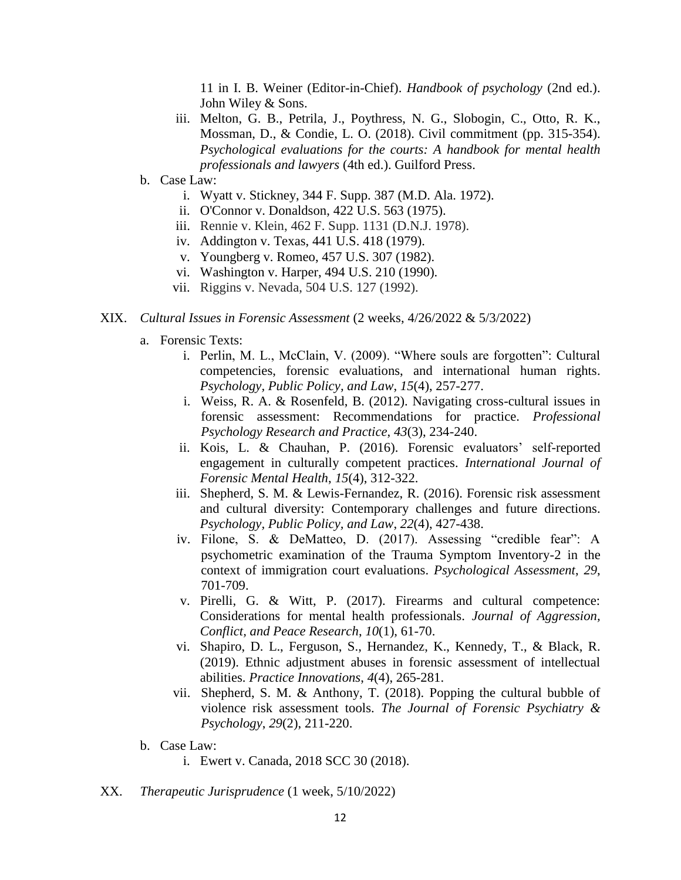11 in I. B. Weiner (Editor-in-Chief). *Handbook of psychology* (2nd ed.). John Wiley & Sons.

- iii. Melton, G. B., Petrila, J., Poythress, N. G., Slobogin, C., Otto, R. K., Mossman, D., & Condie, L. O. (2018). Civil commitment (pp. 315-354). *Psychological evaluations for the courts: A handbook for mental health professionals and lawyers* (4th ed.). Guilford Press.
- b. Case Law:
	- i. Wyatt v. Stickney, 344 F. Supp. 387 (M.D. Ala. 1972).
	- ii. O'Connor v. Donaldson, 422 U.S. 563 (1975).
	- iii. Rennie v. Klein, 462 F. Supp. 1131 (D.N.J. 1978).
	- iv. Addington v. Texas, 441 U.S. 418 (1979).
	- v. Youngberg v. Romeo, 457 U.S. 307 (1982).
	- vi. Washington v. Harper, 494 U.S. 210 (1990).
	- vii. Riggins v. Nevada, 504 U.S. 127 (1992).
- XIX. *Cultural Issues in Forensic Assessment* (2 weeks, 4/26/2022 & 5/3/2022)
	- a. Forensic Texts:
		- i. Perlin, M. L., McClain, V. (2009). "Where souls are forgotten": Cultural competencies, forensic evaluations, and international human rights. *Psychology, Public Policy, and Law*, *15*(4), 257-277.
		- i. Weiss, R. A. & Rosenfeld, B. (2012). Navigating cross-cultural issues in forensic assessment: Recommendations for practice. *Professional Psychology Research and Practice*, *43*(3), 234-240.
		- ii. Kois, L. & Chauhan, P. (2016). Forensic evaluators' self-reported engagement in culturally competent practices. *International Journal of Forensic Mental Health*, *15*(4), 312-322.
		- iii. Shepherd, S. M. & Lewis-Fernandez, R. (2016). Forensic risk assessment and cultural diversity: Contemporary challenges and future directions. *Psychology, Public Policy, and Law*, *22*(4), 427-438.
		- iv. Filone, S. & DeMatteo, D. (2017). Assessing "credible fear": A psychometric examination of the Trauma Symptom Inventory-2 in the context of immigration court evaluations. *Psychological Assessment*, *29*, 701-709.
		- v. Pirelli, G. & Witt, P. (2017). Firearms and cultural competence: Considerations for mental health professionals. *Journal of Aggression, Conflict, and Peace Research*, *10*(1), 61-70.
		- vi. Shapiro, D. L., Ferguson, S., Hernandez, K., Kennedy, T., & Black, R. (2019). Ethnic adjustment abuses in forensic assessment of intellectual abilities. *Practice Innovations*, *4*(4), 265-281.
		- vii. Shepherd, S. M. & Anthony, T. (2018). Popping the cultural bubble of violence risk assessment tools. *The Journal of Forensic Psychiatry & Psychology*, *29*(2), 211-220.
	- b. Case Law:
		- i. Ewert v. Canada, 2018 SCC 30 (2018).
- XX. *Therapeutic Jurisprudence* (1 week, 5/10/2022)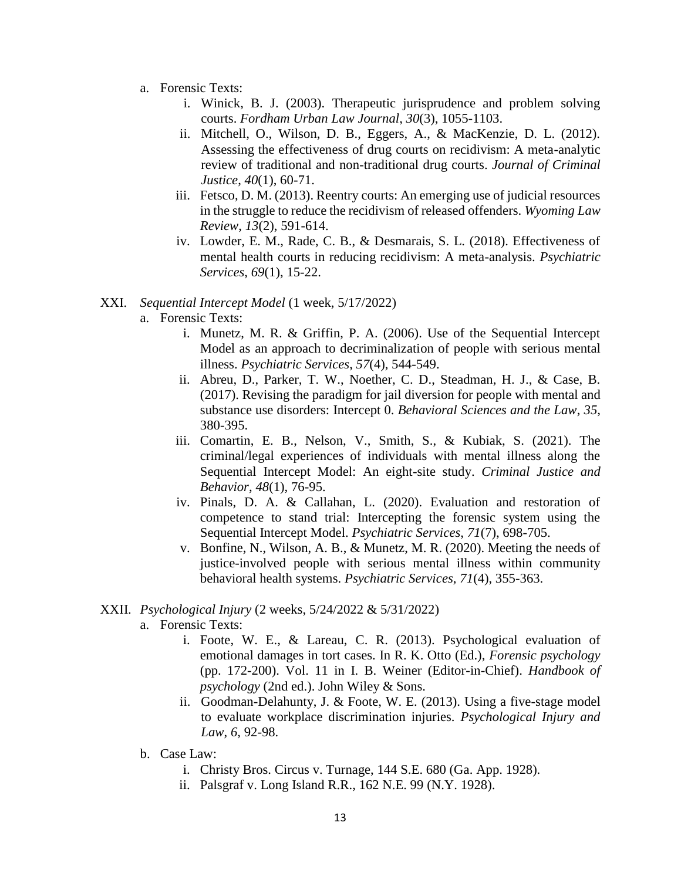- a. Forensic Texts:
	- i. Winick, B. J. (2003). Therapeutic jurisprudence and problem solving courts. *Fordham Urban Law Journal*, *30*(3), 1055-1103.
	- ii. Mitchell, O., Wilson, D. B., Eggers, A., & MacKenzie, D. L. (2012). Assessing the effectiveness of drug courts on recidivism: A meta-analytic review of traditional and non-traditional drug courts. *Journal of Criminal Justice*, *40*(1), 60-71.
	- iii. Fetsco, D. M. (2013). Reentry courts: An emerging use of judicial resources in the struggle to reduce the recidivism of released offenders. *Wyoming Law Review*, *13*(2), 591-614.
	- iv. Lowder, E. M., Rade, C. B., & Desmarais, S. L. (2018). Effectiveness of mental health courts in reducing recidivism: A meta-analysis. *Psychiatric Services*, *69*(1), 15-22.

## XXI. *Sequential Intercept Model* (1 week, 5/17/2022)

- a. Forensic Texts:
	- i. Munetz, M. R. & Griffin, P. A. (2006). Use of the Sequential Intercept Model as an approach to decriminalization of people with serious mental illness. *Psychiatric Services*, *57*(4), 544-549.
	- ii. Abreu, D., Parker, T. W., Noether, C. D., Steadman, H. J., & Case, B. (2017). Revising the paradigm for jail diversion for people with mental and substance use disorders: Intercept 0. *Behavioral Sciences and the Law*, *35*, 380-395.
	- iii. Comartin, E. B., Nelson, V., Smith, S., & Kubiak, S. (2021). The criminal/legal experiences of individuals with mental illness along the Sequential Intercept Model: An eight-site study. *Criminal Justice and Behavior*, *48*(1), 76-95.
	- iv. Pinals, D. A. & Callahan, L. (2020). Evaluation and restoration of competence to stand trial: Intercepting the forensic system using the Sequential Intercept Model. *Psychiatric Services*, *71*(7), 698-705.
	- v. Bonfine, N., Wilson, A. B., & Munetz, M. R. (2020). Meeting the needs of justice-involved people with serious mental illness within community behavioral health systems. *Psychiatric Services*, *71*(4), 355-363.

#### XXII. *Psychological Injury* (2 weeks, 5/24/2022 & 5/31/2022)

- a. Forensic Texts:
	- i. Foote, W. E., & Lareau, C. R. (2013). Psychological evaluation of emotional damages in tort cases. In R. K. Otto (Ed.), *Forensic psychology*  (pp. 172-200). Vol. 11 in I. B. Weiner (Editor-in-Chief). *Handbook of psychology* (2nd ed.). John Wiley & Sons.
	- ii. Goodman-Delahunty, J. & Foote, W. E. (2013). Using a five-stage model to evaluate workplace discrimination injuries. *Psychological Injury and Law*, *6*, 92-98.
- b. Case Law:
	- i. Christy Bros. Circus v. Turnage, 144 S.E. 680 (Ga. App. 1928).
	- ii. Palsgraf v. Long Island R.R., 162 N.E. 99 (N.Y. 1928).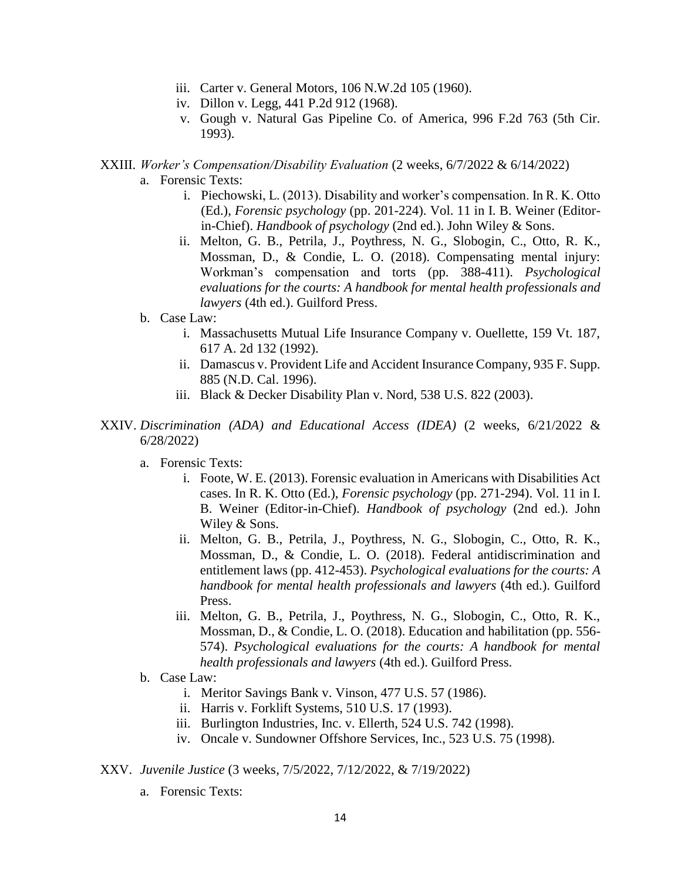- iii. Carter v. General Motors, 106 N.W.2d 105 (1960).
- iv. Dillon v. Legg, 441 P.2d 912 (1968).
- v. Gough v. Natural Gas Pipeline Co. of America, 996 F.2d 763 (5th Cir. 1993).
- XXIII. *Worker's Compensation/Disability Evaluation* (2 weeks, 6/7/2022 & 6/14/2022)
	- a. Forensic Texts:
		- i. Piechowski, L. (2013). Disability and worker's compensation. In R. K. Otto (Ed.), *Forensic psychology* (pp. 201-224). Vol. 11 in I. B. Weiner (Editorin-Chief). *Handbook of psychology* (2nd ed.). John Wiley & Sons.
		- ii. Melton, G. B., Petrila, J., Poythress, N. G., Slobogin, C., Otto, R. K., Mossman, D., & Condie, L. O. (2018). Compensating mental injury: Workman's compensation and torts (pp. 388-411). *Psychological evaluations for the courts: A handbook for mental health professionals and lawyers* (4th ed.). Guilford Press.
	- b. Case Law:
		- i. Massachusetts Mutual Life Insurance Company v. Ouellette, 159 Vt. 187, 617 A. 2d 132 (1992).
		- ii. Damascus v. Provident Life and Accident Insurance Company, 935 F. Supp. 885 (N.D. Cal. 1996).
		- iii. Black & Decker Disability Plan v. Nord, 538 U.S. 822 (2003).
- XXIV. *Discrimination (ADA) and Educational Access (IDEA)* (2 weeks, 6/21/2022 & 6/28/2022)
	- a. Forensic Texts:
		- i. Foote, W. E. (2013). Forensic evaluation in Americans with Disabilities Act cases. In R. K. Otto (Ed.), *Forensic psychology* (pp. 271-294). Vol. 11 in I. B. Weiner (Editor-in-Chief). *Handbook of psychology* (2nd ed.). John Wiley & Sons.
		- ii. Melton, G. B., Petrila, J., Poythress, N. G., Slobogin, C., Otto, R. K., Mossman, D., & Condie, L. O. (2018). Federal antidiscrimination and entitlement laws (pp. 412-453). *Psychological evaluations for the courts: A handbook for mental health professionals and lawyers* (4th ed.). Guilford Press.
		- iii. Melton, G. B., Petrila, J., Poythress, N. G., Slobogin, C., Otto, R. K., Mossman, D., & Condie, L. O. (2018). Education and habilitation (pp. 556- 574). *Psychological evaluations for the courts: A handbook for mental health professionals and lawyers* (4th ed.). Guilford Press.
	- b. Case Law:
		- i. Meritor Savings Bank v. Vinson, 477 U.S. 57 (1986).
		- ii. Harris v. Forklift Systems, 510 U.S. 17 (1993).
		- iii. Burlington Industries, Inc. v. Ellerth, 524 U.S. 742 (1998).
		- iv. Oncale v. Sundowner Offshore Services, Inc., 523 U.S. 75 (1998).
- XXV. *Juvenile Justice* (3 weeks, 7/5/2022, 7/12/2022, & 7/19/2022)
	- a. Forensic Texts: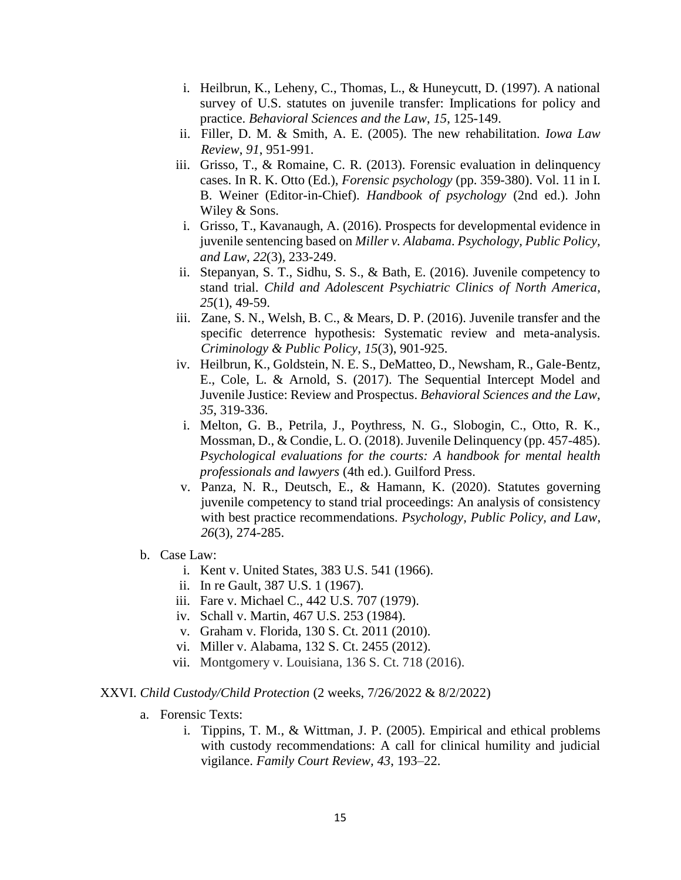- i. Heilbrun, K., Leheny, C., Thomas, L., & Huneycutt, D. (1997). A national survey of U.S. statutes on juvenile transfer: Implications for policy and practice. *Behavioral Sciences and the Law*, *15*, 125-149.
- ii. Filler, D. M. & Smith, A. E. (2005). The new rehabilitation. *Iowa Law Review*, *91*, 951-991.
- iii. Grisso, T., & Romaine, C. R. (2013). Forensic evaluation in delinquency cases. In R. K. Otto (Ed.), *Forensic psychology* (pp. 359-380). Vol. 11 in I. B. Weiner (Editor-in-Chief). *Handbook of psychology* (2nd ed.). John Wiley & Sons.
- i. Grisso, T., Kavanaugh, A. (2016). Prospects for developmental evidence in juvenile sentencing based on *Miller v. Alabama*. *Psychology, Public Policy, and Law*, *22*(3), 233-249.
- ii. Stepanyan, S. T., Sidhu, S. S., & Bath, E. (2016). Juvenile competency to stand trial. *Child and Adolescent Psychiatric Clinics of North America*, *25*(1), 49-59.
- iii. Zane, S. N., Welsh, B. C., & Mears, D. P. (2016). Juvenile transfer and the specific deterrence hypothesis: Systematic review and meta-analysis. *Criminology & Public Policy*, *15*(3), 901-925.
- iv. Heilbrun, K., Goldstein, N. E. S., DeMatteo, D., Newsham, R., Gale-Bentz, E., Cole, L. & Arnold, S. (2017). The Sequential Intercept Model and Juvenile Justice: Review and Prospectus. *Behavioral Sciences and the Law*, *35*, 319-336.
- i. Melton, G. B., Petrila, J., Poythress, N. G., Slobogin, C., Otto, R. K., Mossman, D., & Condie, L. O. (2018). Juvenile Delinquency (pp. 457-485). *Psychological evaluations for the courts: A handbook for mental health professionals and lawyers* (4th ed.). Guilford Press.
- v. Panza, N. R., Deutsch, E., & Hamann, K. (2020). Statutes governing juvenile competency to stand trial proceedings: An analysis of consistency with best practice recommendations. *Psychology, Public Policy, and Law*, *26*(3), 274-285.
- b. Case Law:
	- i. Kent v. United States, 383 U.S. 541 (1966).
	- ii. In re Gault, 387 U.S. 1 (1967).
	- iii. Fare v. Michael C., 442 U.S. 707 (1979).
	- iv. Schall v. Martin, 467 U.S. 253 (1984).
	- v. Graham v. Florida, 130 S. Ct. 2011 (2010).
	- vi. Miller v. Alabama, 132 S. Ct. 2455 (2012).
	- vii. Montgomery v. Louisiana, 136 S. Ct. 718 (2016).

#### XXVI. *Child Custody/Child Protection* (2 weeks, 7/26/2022 & 8/2/2022)

- a. Forensic Texts:
	- i. Tippins, T. M., & Wittman, J. P. (2005). Empirical and ethical problems with custody recommendations: A call for clinical humility and judicial vigilance. *Family Court Review, 43*, 193–22.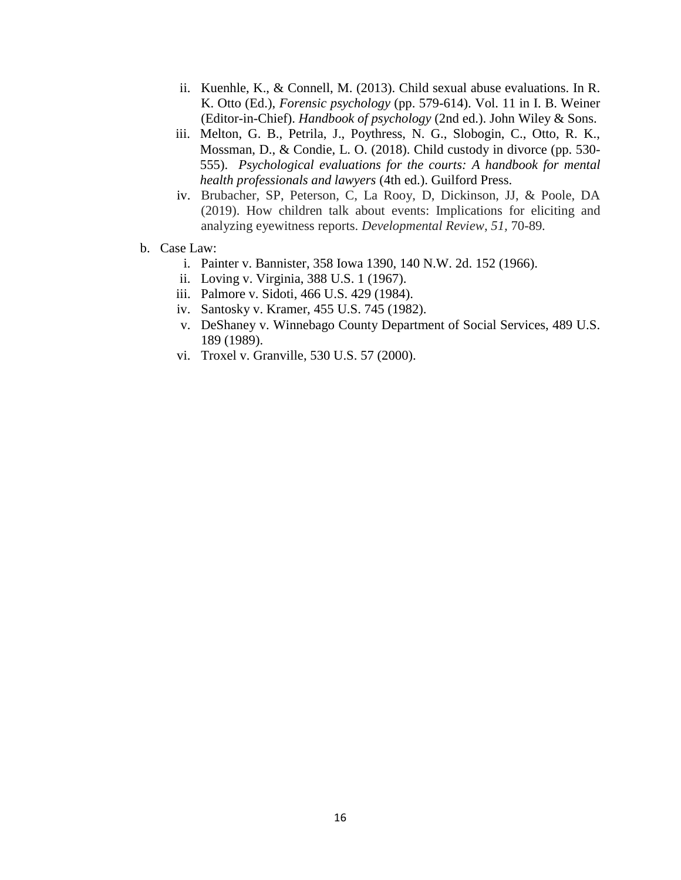- ii. Kuenhle, K., & Connell, M. (2013). Child sexual abuse evaluations. In R. K. Otto (Ed.), *Forensic psychology* (pp. 579-614). Vol. 11 in I. B. Weiner (Editor-in-Chief). *Handbook of psychology* (2nd ed.). John Wiley & Sons.
- iii. Melton, G. B., Petrila, J., Poythress, N. G., Slobogin, C., Otto, R. K., Mossman, D., & Condie, L. O. (2018). Child custody in divorce (pp. 530- 555). *Psychological evaluations for the courts: A handbook for mental health professionals and lawyers* (4th ed.). Guilford Press.
- iv. Brubacher, SP, Peterson, C, La Rooy, D, Dickinson, JJ, & Poole, DA (2019). How children talk about events: Implications for eliciting and analyzing eyewitness reports. *Developmental Review*, *51,* 70-89*.*
- b. Case Law:
	- i. Painter v. Bannister, 358 Iowa 1390, 140 N.W. 2d. 152 (1966).
	- ii. Loving v. Virginia, 388 U.S. 1 (1967).
	- iii. Palmore v. Sidoti, 466 U.S. 429 (1984).
	- iv. Santosky v. Kramer, 455 U.S. 745 (1982).
	- v. DeShaney v. Winnebago County Department of Social Services, 489 U.S. 189 (1989).
	- vi. Troxel v. Granville, 530 U.S. 57 (2000).